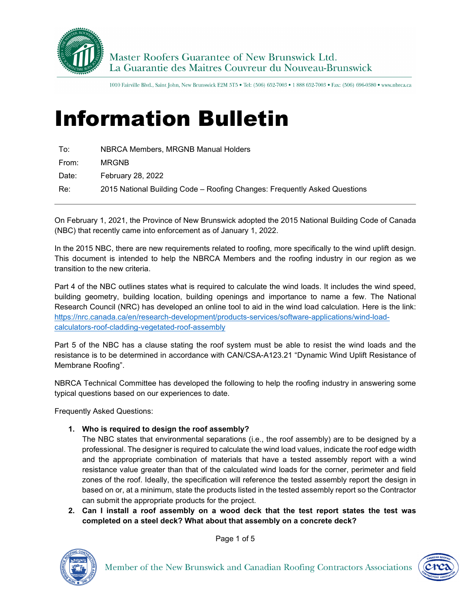

1010 Fairville Blvd., Saint John, New Brunswick E2M 5T5 . Tel: (506) 652-7003 . 1 888 652-7003 . Fax: (506) 696-0380 . www.nbrca.ca

## Information Bulletin

| To:   | NBRCA Members, MRGNB Manual Holders                                       |
|-------|---------------------------------------------------------------------------|
| From: | <b>MRGNB</b>                                                              |
| Date: | February 28, 2022                                                         |
| Re∶   | 2015 National Building Code - Roofing Changes: Frequently Asked Questions |

On February 1, 2021, the Province of New Brunswick adopted the 2015 National Building Code of Canada (NBC) that recently came into enforcement as of January 1, 2022.

In the 2015 NBC, there are new requirements related to roofing, more specifically to the wind uplift design. This document is intended to help the NBRCA Members and the roofing industry in our region as we transition to the new criteria.

Part 4 of the NBC outlines states what is required to calculate the wind loads. It includes the wind speed, building geometry, building location, building openings and importance to name a few. The National Research Council (NRC) has developed an online tool to aid in the wind load calculation. Here is the link: [https://nrc.canada.ca/en/research-development/products-services/software-applications/wind-load](https://nrc.canada.ca/en/research-development/products-services/software-applications/wind-load-calculators-roof-cladding-vegetated-roof-assembly)[calculators-roof-cladding-vegetated-roof-assembly](https://nrc.canada.ca/en/research-development/products-services/software-applications/wind-load-calculators-roof-cladding-vegetated-roof-assembly)

Part 5 of the NBC has a clause stating the roof system must be able to resist the wind loads and the resistance is to be determined in accordance with CAN/CSA-A123.21 "Dynamic Wind Uplift Resistance of Membrane Roofing".

NBRCA Technical Committee has developed the following to help the roofing industry in answering some typical questions based on our experiences to date.

Frequently Asked Questions:

**1. Who is required to design the roof assembly?**

The NBC states that environmental separations (i.e., the roof assembly) are to be designed by a professional. The designer is required to calculate the wind load values, indicate the roof edge width and the appropriate combination of materials that have a tested assembly report with a wind resistance value greater than that of the calculated wind loads for the corner, perimeter and field zones of the roof. Ideally, the specification will reference the tested assembly report the design in based on or, at a minimum, state the products listed in the tested assembly report so the Contractor can submit the appropriate products for the project.

**2. Can I install a roof assembly on a wood deck that the test report states the test was completed on a steel deck? What about that assembly on a concrete deck?** 



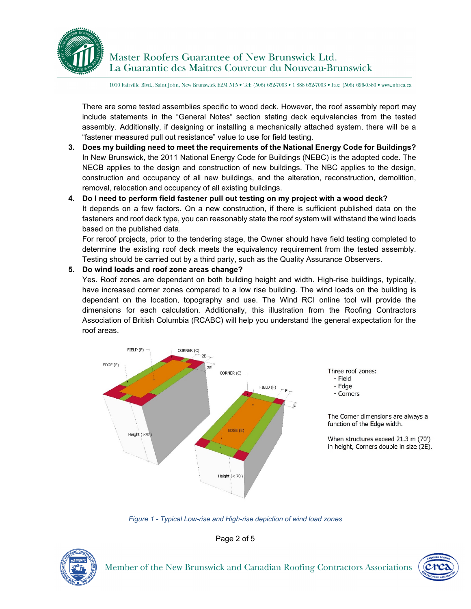

1010 Fairville Blvd., Saint John, New Brunswick E2M 5T5 . Tel: (506) 652-7003 . 1 888 652-7003 . Fax: (506) 696-0380 . www.nbrca.ca

There are some tested assemblies specific to wood deck. However, the roof assembly report may include statements in the "General Notes" section stating deck equivalencies from the tested assembly. Additionally, if designing or installing a mechanically attached system, there will be a "fastener measured pull out resistance" value to use for field testing.

- **3. Does my building need to meet the requirements of the National Energy Code for Buildings?** In New Brunswick, the 2011 National Energy Code for Buildings (NEBC) is the adopted code. The NECB applies to the design and construction of new buildings. The NBC applies to the design, construction and occupancy of all new buildings, and the alteration, reconstruction, demolition, removal, relocation and occupancy of all existing buildings.
- **4. Do I need to perform field fastener pull out testing on my project with a wood deck?** It depends on a few factors. On a new construction, if there is sufficient published data on the fasteners and roof deck type, you can reasonably state the roof system will withstand the wind loads based on the published data.

For reroof projects, prior to the tendering stage, the Owner should have field testing completed to determine the existing roof deck meets the equivalency requirement from the tested assembly. Testing should be carried out by a third party, such as the Quality Assurance Observers.

## **5. Do wind loads and roof zone areas change?**

Yes. Roof zones are dependant on both building height and width. High-rise buildings, typically, have increased corner zones compared to a low rise building. The wind loads on the building is dependant on the location, topography and use. The Wind RCI online tool will provide the dimensions for each calculation. Additionally, this illustration from the Roofing Contractors Association of British Columbia (RCABC) will help you understand the general expectation for the roof areas.



*Figure 1 - Typical Low-rise and High-rise depiction of wind load zones*

Page 2 of 5



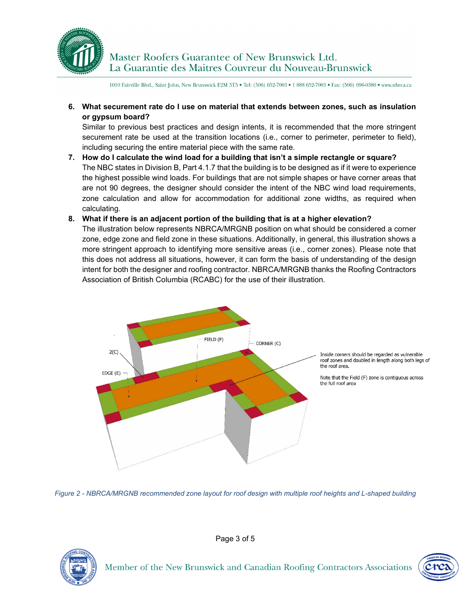

Master Roofers Guarantee of New Brunswick Ltd. La Guarantie des Maitres Couvreur du Nouveau-Brunswick

1010 Fairville Blvd., Saint John, New Brunswick E2M 5T5 . Tel: (506) 652-7003 . 1 888 652-7003 . Fax: (506) 696-0380 . www.nbrca.ca

**6. What securement rate do I use on material that extends between zones, such as insulation or gypsum board?**

Similar to previous best practices and design intents, it is recommended that the more stringent securement rate be used at the transition locations (i.e., corner to perimeter, perimeter to field), including securing the entire material piece with the same rate.

**7. How do I calculate the wind load for a building that isn't a simple rectangle or square?** The NBC states in Division B, Part 4.1.7 that the building is to be designed as if it were to experience the highest possible wind loads. For buildings that are not simple shapes or have corner areas that are not 90 degrees, the designer should consider the intent of the NBC wind load requirements, zone calculation and allow for accommodation for additional zone widths, as required when calculating.

## **8. What if there is an adjacent portion of the building that is at a higher elevation?**

The illustration below represents NBRCA/MRGNB position on what should be considered a corner zone, edge zone and field zone in these situations. Additionally, in general, this illustration shows a more stringent approach to identifying more sensitive areas (i.e., corner zones). Please note that this does not address all situations, however, it can form the basis of understanding of the design intent for both the designer and roofing contractor. NBRCA/MRGNB thanks the Roofing Contractors Association of British Columbia (RCABC) for the use of their illustration.







Page 3 of 5

Member of the New Brunswick and Canadian Roofing Contractors Associations

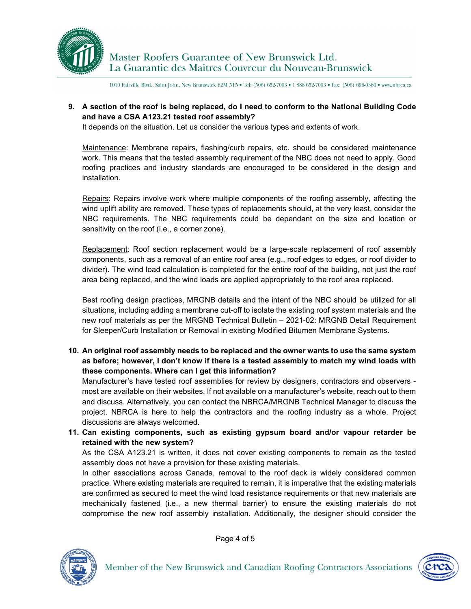

Master Roofers Guarantee of New Brunswick Ltd. La Guarantie des Maitres Couvreur du Nouveau-Brunswick

1010 Fairville Blvd., Saint John, New Brunswick E2M 5T5 . Tel: (506) 652-7003 . 1 888 652-7003 . Fax: (506) 696-0380 . www.nbrca.ca

**9. A section of the roof is being replaced, do I need to conform to the National Building Code and have a CSA A123.21 tested roof assembly?**

It depends on the situation. Let us consider the various types and extents of work.

Maintenance: Membrane repairs, flashing/curb repairs, etc. should be considered maintenance work. This means that the tested assembly requirement of the NBC does not need to apply. Good roofing practices and industry standards are encouraged to be considered in the design and installation.

Repairs: Repairs involve work where multiple components of the roofing assembly, affecting the wind uplift ability are removed. These types of replacements should, at the very least, consider the NBC requirements. The NBC requirements could be dependant on the size and location or sensitivity on the roof (i.e., a corner zone).

Replacement: Roof section replacement would be a large-scale replacement of roof assembly components, such as a removal of an entire roof area (e.g., roof edges to edges, or roof divider to divider). The wind load calculation is completed for the entire roof of the building, not just the roof area being replaced, and the wind loads are applied appropriately to the roof area replaced.

Best roofing design practices, MRGNB details and the intent of the NBC should be utilized for all situations, including adding a membrane cut-off to isolate the existing roof system materials and the new roof materials as per the MRGNB Technical Bulletin – 2021-02: MRGNB Detail Requirement for Sleeper/Curb Installation or Removal in existing Modified Bitumen Membrane Systems.

**10. An original roof assembly needs to be replaced and the owner wants to use the same system as before; however, I don't know if there is a tested assembly to match my wind loads with these components. Where can I get this information?**

Manufacturer's have tested roof assemblies for review by designers, contractors and observers most are available on their websites. If not available on a manufacturer's website, reach out to them and discuss. Alternatively, you can contact the NBRCA/MRGNB Technical Manager to discuss the project. NBRCA is here to help the contractors and the roofing industry as a whole. Project discussions are always welcomed.

**11. Can existing components, such as existing gypsum board and/or vapour retarder be retained with the new system?**

As the CSA A123.21 is written, it does not cover existing components to remain as the tested assembly does not have a provision for these existing materials.

In other associations across Canada, removal to the roof deck is widely considered common practice. Where existing materials are required to remain, it is imperative that the existing materials are confirmed as secured to meet the wind load resistance requirements or that new materials are mechanically fastened (i.e., a new thermal barrier) to ensure the existing materials do not compromise the new roof assembly installation. Additionally, the designer should consider the



Page 4 of 5